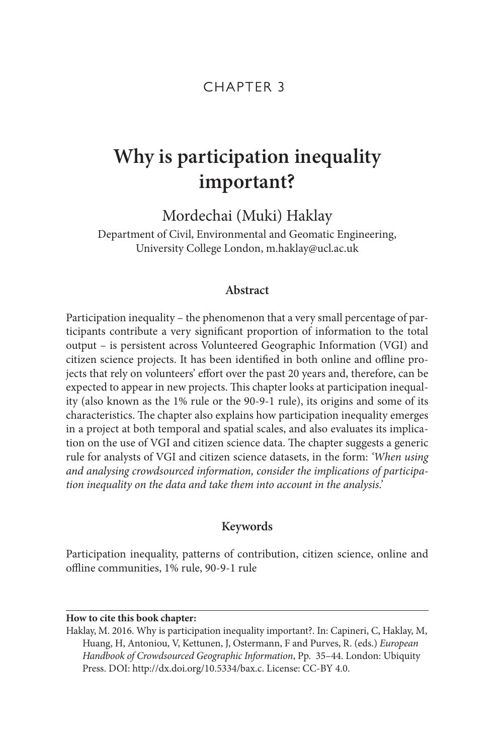# CHAPTER 3

# **Why is participation inequality important?**

Mordechai (Muki) Haklay

Department of Civil, Environmental and Geomatic Engineering, University College London, [m.haklay@ucl.ac.uk](mailto:m.haklay@ucl.ac.uk)

## **Abstract**

Participation inequality – the phenomenon that a very small percentage of participants contribute a very significant proportion of information to the total output – is persistent across Volunteered Geographic Information (VGI) and citizen science projects. It has been identified in both online and offline projects that rely on volunteers' effort over the past 20 years and, therefore, can be expected to appear in new projects. This chapter looks at participation inequality (also known as the 1% rule or the 90-9-1 rule), its origins and some of its characteristics. The chapter also explains how participation inequality emerges in a project at both temporal and spatial scales, and also evaluates its implication on the use of VGI and citizen science data. The chapter suggests a generic rule for analysts of VGI and citizen science datasets, in the form: *'When using and analysing crowdsourced information, consider the implications of participation inequality on the data and take them into account in the analysis.'*

# **Keywords**

Participation inequality, patterns of contribution, citizen science, online and offline communities, 1% rule, 90-9-1 rule

#### **How to cite this book chapter:**

Haklay, M. 2016. Why is participation inequality important?. In: Capineri, C, Haklay, M, Huang, H, Antoniou, V, Kettunen, J, Ostermann, F and Purves, R. (eds.) *European Handbook of Crowdsourced Geographic Information*, Pp. 35–44. London: Ubiquity Press. DOI: <http://dx.doi.org/10.5334/bax.c>. License: CC-BY 4.0.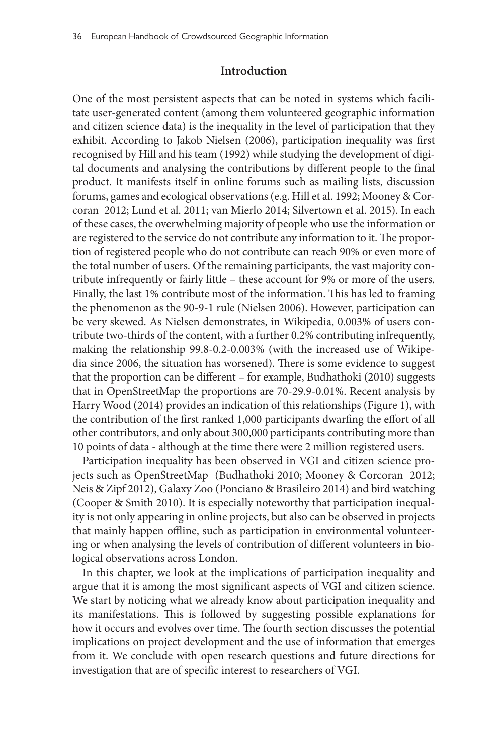### **Introduction**

One of the most persistent aspects that can be noted in systems which facilitate user-generated content (among them volunteered geographic information and citizen science data) is the inequality in the level of participation that they exhibit. According to Jakob Nielsen (2006), participation inequality was first recognised by Hill and his team (1992) while studying the development of digital documents and analysing the contributions by different people to the final product. It manifests itself in online forums such as mailing lists, discussion forums, games and ecological observations (e.g. Hill et al. 1992; Mooney & Corcoran 2012; Lund et al. 2011; van Mierlo 2014; Silvertown et al. 2015). In each of these cases, the overwhelming majority of people who use the information or are registered to the service do not contribute any information to it. The proportion of registered people who do not contribute can reach 90% or even more of the total number of users. Of the remaining participants, the vast majority contribute infrequently or fairly little – these account for 9% or more of the users. Finally, the last 1% contribute most of the information. This has led to framing the phenomenon as the 90-9-1 rule (Nielsen 2006). However, participation can be very skewed. As Nielsen demonstrates, in Wikipedia, 0.003% of users contribute two-thirds of the content, with a further 0.2% contributing infrequently, making the relationship 99.8-0.2-0.003% (with the increased use of Wikipedia since 2006, the situation has worsened). There is some evidence to suggest that the proportion can be different – for example, Budhathoki (2010) suggests that in OpenStreetMap the proportions are 70-29.9-0.01%. Recent analysis by Harry Wood (2014) provides an indication of this relationships [\(Figure 1\)](#page-2-0), with the contribution of the first ranked 1,000 participants dwarfing the effort of all other contributors, and only about 300,000 participants contributing more than 10 points of data - although at the time there were 2 million registered users.

Participation inequality has been observed in VGI and citizen science projects such as OpenStreetMap (Budhathoki 2010; Mooney & Corcoran 2012; Neis & Zipf 2012), Galaxy Zoo (Ponciano & Brasileiro 2014) and bird watching (Cooper & Smith 2010). It is especially noteworthy that participation inequality is not only appearing in online projects, but also can be observed in projects that mainly happen offline, such as participation in environmental volunteering or when analysing the levels of contribution of different volunteers in biological observations across London.

In this chapter, we look at the implications of participation inequality and argue that it is among the most significant aspects of VGI and citizen science. We start by noticing what we already know about participation inequality and its manifestations. This is followed by suggesting possible explanations for how it occurs and evolves over time. The fourth section discusses the potential implications on project development and the use of information that emerges from it. We conclude with open research questions and future directions for investigation that are of specific interest to researchers of VGI.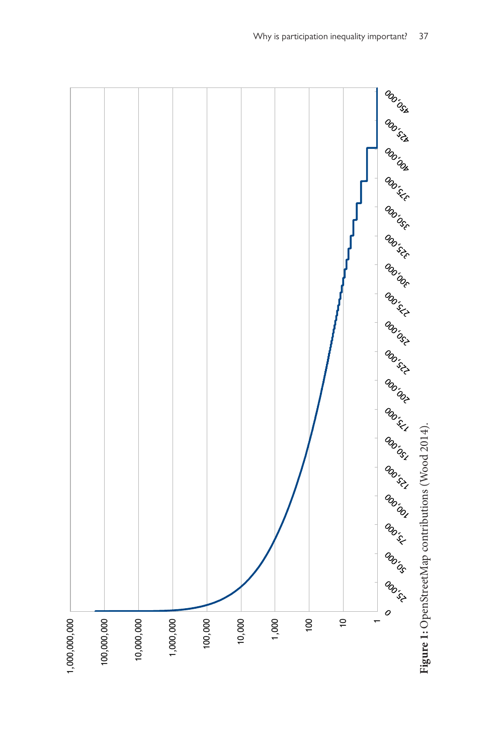<span id="page-2-0"></span>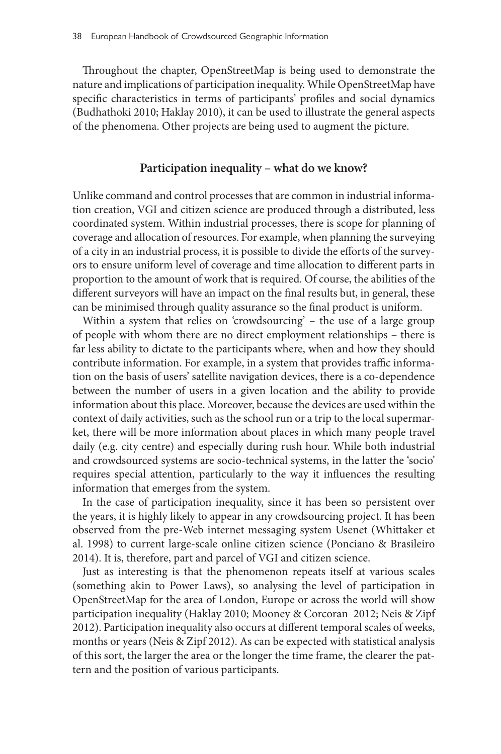Throughout the chapter, OpenStreetMap is being used to demonstrate the nature and implications of participation inequality. While OpenStreetMap have specific characteristics in terms of participants' profiles and social dynamics (Budhathoki 2010; Haklay 2010), it can be used to illustrate the general aspects of the phenomena. Other projects are being used to augment the picture.

#### **Participation inequality – what do we know?**

Unlike command and control processes that are common in industrial information creation, VGI and citizen science are produced through a distributed, less coordinated system. Within industrial processes, there is scope for planning of coverage and allocation of resources. For example, when planning the surveying of a city in an industrial process, it is possible to divide the efforts of the surveyors to ensure uniform level of coverage and time allocation to different parts in proportion to the amount of work that is required. Of course, the abilities of the different surveyors will have an impact on the final results but, in general, these can be minimised through quality assurance so the final product is uniform.

Within a system that relies on 'crowdsourcing' – the use of a large group of people with whom there are no direct employment relationships – there is far less ability to dictate to the participants where, when and how they should contribute information. For example, in a system that provides traffic information on the basis of users' satellite navigation devices, there is a co-dependence between the number of users in a given location and the ability to provide information about this place. Moreover, because the devices are used within the context of daily activities, such as the school run or a trip to the local supermarket, there will be more information about places in which many people travel daily (e.g. city centre) and especially during rush hour. While both industrial and crowdsourced systems are socio-technical systems, in the latter the 'socio' requires special attention, particularly to the way it influences the resulting information that emerges from the system.

In the case of participation inequality, since it has been so persistent over the years, it is highly likely to appear in any crowdsourcing project. It has been observed from the pre-Web internet messaging system Usenet (Whittaker et al. 1998) to current large-scale online citizen science (Ponciano & Brasileiro 2014). It is, therefore, part and parcel of VGI and citizen science.

Just as interesting is that the phenomenon repeats itself at various scales (something akin to Power Laws), so analysing the level of participation in OpenStreetMap for the area of London, Europe or across the world will show participation inequality (Haklay 2010; Mooney & Corcoran 2012; Neis & Zipf 2012). Participation inequality also occurs at different temporal scales of weeks, months or years (Neis & Zipf 2012). As can be expected with statistical analysis of this sort, the larger the area or the longer the time frame, the clearer the pattern and the position of various participants.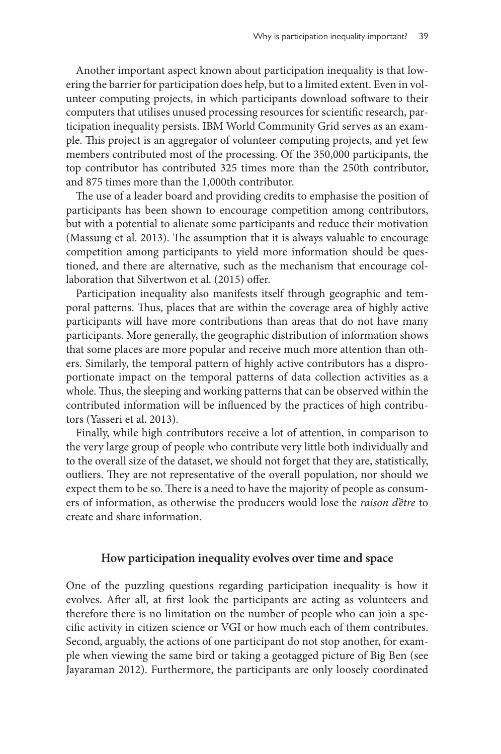Another important aspect known about participation inequality is that lowering the barrier for participation does help, but to a limited extent. Even in volunteer computing projects, in which participants download software to their computers that utilises unused processing resources for scientific research, participation inequality persists. IBM World Community Grid serves as an example. This project is an aggregator of volunteer computing projects, and yet few members contributed most of the processing. Of the 350,000 participants, the top contributor has contributed 325 times more than the 250th contributor, and 875 times more than the 1,000th contributor.

The use of a leader board and providing credits to emphasise the position of participants has been shown to encourage competition among contributors, but with a potential to alienate some participants and reduce their motivation (Massung et al. 2013). The assumption that it is always valuable to encourage competition among participants to yield more information should be questioned, and there are alternative, such as the mechanism that encourage collaboration that Silvertwon et al. (2015) offer.

Participation inequality also manifests itself through geographic and temporal patterns. Thus, places that are within the coverage area of highly active participants will have more contributions than areas that do not have many participants. More generally, the geographic distribution of information shows that some places are more popular and receive much more attention than others. Similarly, the temporal pattern of highly active contributors has a disproportionate impact on the temporal patterns of data collection activities as a whole. Thus, the sleeping and working patterns that can be observed within the contributed information will be influenced by the practices of high contributors (Yasseri et al. 2013).

Finally, while high contributors receive a lot of attention, in comparison to the very large group of people who contribute very little both individually and to the overall size of the dataset, we should not forget that they are, statistically, outliers. They are not representative of the overall population, nor should we expect them to be so. There is a need to have the majority of people as consumers of information, as otherwise the producers would lose the *raison d'être* to create and share information.

#### **How participation inequality evolves over time and space**

One of the puzzling questions regarding participation inequality is how it evolves. After all, at first look the participants are acting as volunteers and therefore there is no limitation on the number of people who can join a specific activity in citizen science or VGI or how much each of them contributes. Second, arguably, the actions of one participant do not stop another, for example when viewing the same bird or taking a geotagged picture of Big Ben (see Jayaraman 2012). Furthermore, the participants are only loosely coordinated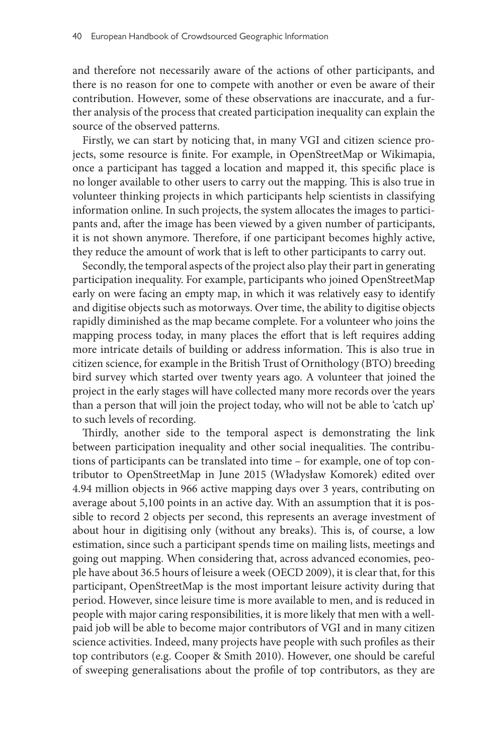and therefore not necessarily aware of the actions of other participants, and there is no reason for one to compete with another or even be aware of their contribution. However, some of these observations are inaccurate, and a further analysis of the process that created participation inequality can explain the source of the observed patterns.

Firstly, we can start by noticing that, in many VGI and citizen science projects, some resource is finite. For example, in OpenStreetMap or Wikimapia, once a participant has tagged a location and mapped it, this specific place is no longer available to other users to carry out the mapping. This is also true in volunteer thinking projects in which participants help scientists in classifying information online. In such projects, the system allocates the images to participants and, after the image has been viewed by a given number of participants, it is not shown anymore. Therefore, if one participant becomes highly active, they reduce the amount of work that is left to other participants to carry out.

Secondly, the temporal aspects of the project also play their part in generating participation inequality. For example, participants who joined OpenStreetMap early on were facing an empty map, in which it was relatively easy to identify and digitise objects such as motorways. Over time, the ability to digitise objects rapidly diminished as the map became complete. For a volunteer who joins the mapping process today, in many places the effort that is left requires adding more intricate details of building or address information. This is also true in citizen science, for example in the British Trust of Ornithology (BTO) breeding bird survey which started over twenty years ago. A volunteer that joined the project in the early stages will have collected many more records over the years than a person that will join the project today, who will not be able to 'catch up' to such levels of recording.

Thirdly, another side to the temporal aspect is demonstrating the link between participation inequality and other social inequalities. The contributions of participants can be translated into time – for example, one of top contributor to OpenStreetMap in June 2015 (Władysław Komorek) edited over 4.94 million objects in 966 active mapping days over 3 years, contributing on average about 5,100 points in an active day. With an assumption that it is possible to record 2 objects per second, this represents an average investment of about hour in digitising only (without any breaks). This is, of course, a low estimation, since such a participant spends time on mailing lists, meetings and going out mapping. When considering that, across advanced economies, people have about 36.5 hours of leisure a week (OECD 2009), it is clear that, for this participant, OpenStreetMap is the most important leisure activity during that period. However, since leisure time is more available to men, and is reduced in people with major caring responsibilities, it is more likely that men with a wellpaid job will be able to become major contributors of VGI and in many citizen science activities. Indeed, many projects have people with such profiles as their top contributors (e.g. Cooper & Smith 2010). However, one should be careful of sweeping generalisations about the profile of top contributors, as they are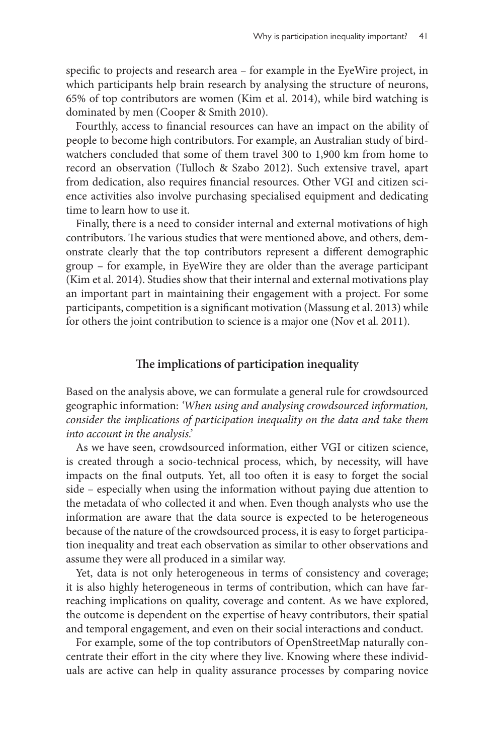specific to projects and research area – for example in the EyeWire project, in which participants help brain research by analysing the structure of neurons, 65% of top contributors are women (Kim et al. 2014), while bird watching is dominated by men (Cooper & Smith 2010).

Fourthly, access to financial resources can have an impact on the ability of people to become high contributors. For example, an Australian study of birdwatchers concluded that some of them travel 300 to 1,900 km from home to record an observation (Tulloch & Szabo 2012). Such extensive travel, apart from dedication, also requires financial resources. Other VGI and citizen science activities also involve purchasing specialised equipment and dedicating time to learn how to use it.

Finally, there is a need to consider internal and external motivations of high contributors. The various studies that were mentioned above, and others, demonstrate clearly that the top contributors represent a different demographic group – for example, in EyeWire they are older than the average participant (Kim et al. 2014). Studies show that their internal and external motivations play an important part in maintaining their engagement with a project. For some participants, competition is a significant motivation (Massung et al. 2013) while for others the joint contribution to science is a major one (Nov et al. 2011).

#### **The implications of participation inequality**

Based on the analysis above, we can formulate a general rule for crowdsourced geographic information: *'When using and analysing crowdsourced information, consider the implications of participation inequality on the data and take them into account in the analysis.'*

As we have seen, crowdsourced information, either VGI or citizen science, is created through a socio-technical process, which, by necessity, will have impacts on the final outputs. Yet, all too often it is easy to forget the social side – especially when using the information without paying due attention to the metadata of who collected it and when. Even though analysts who use the information are aware that the data source is expected to be heterogeneous because of the nature of the crowdsourced process, it is easy to forget participation inequality and treat each observation as similar to other observations and assume they were all produced in a similar way.

Yet, data is not only heterogeneous in terms of consistency and coverage; it is also highly heterogeneous in terms of contribution, which can have farreaching implications on quality, coverage and content. As we have explored, the outcome is dependent on the expertise of heavy contributors, their spatial and temporal engagement, and even on their social interactions and conduct.

For example, some of the top contributors of OpenStreetMap naturally concentrate their effort in the city where they live. Knowing where these individuals are active can help in quality assurance processes by comparing novice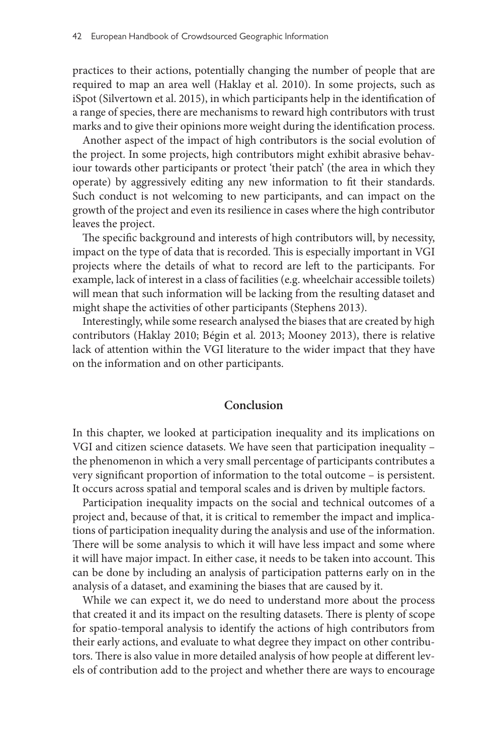practices to their actions, potentially changing the number of people that are required to map an area well (Haklay et al. 2010). In some projects, such as iSpot (Silvertown et al. 2015), in which participants help in the identification of a range of species, there are mechanisms to reward high contributors with trust marks and to give their opinions more weight during the identification process.

Another aspect of the impact of high contributors is the social evolution of the project. In some projects, high contributors might exhibit abrasive behaviour towards other participants or protect 'their patch' (the area in which they operate) by aggressively editing any new information to fit their standards. Such conduct is not welcoming to new participants, and can impact on the growth of the project and even its resilience in cases where the high contributor leaves the project.

The specific background and interests of high contributors will, by necessity, impact on the type of data that is recorded. This is especially important in VGI projects where the details of what to record are left to the participants. For example, lack of interest in a class of facilities (e.g. wheelchair accessible toilets) will mean that such information will be lacking from the resulting dataset and might shape the activities of other participants (Stephens 2013).

Interestingly, while some research analysed the biases that are created by high contributors (Haklay 2010; Bégin et al. 2013; Mooney 2013), there is relative lack of attention within the VGI literature to the wider impact that they have on the information and on other participants.

#### **Conclusion**

In this chapter, we looked at participation inequality and its implications on VGI and citizen science datasets. We have seen that participation inequality – the phenomenon in which a very small percentage of participants contributes a very significant proportion of information to the total outcome – is persistent. It occurs across spatial and temporal scales and is driven by multiple factors.

Participation inequality impacts on the social and technical outcomes of a project and, because of that, it is critical to remember the impact and implications of participation inequality during the analysis and use of the information. There will be some analysis to which it will have less impact and some where it will have major impact. In either case, it needs to be taken into account. This can be done by including an analysis of participation patterns early on in the analysis of a dataset, and examining the biases that are caused by it.

While we can expect it, we do need to understand more about the process that created it and its impact on the resulting datasets. There is plenty of scope for spatio-temporal analysis to identify the actions of high contributors from their early actions, and evaluate to what degree they impact on other contributors. There is also value in more detailed analysis of how people at different levels of contribution add to the project and whether there are ways to encourage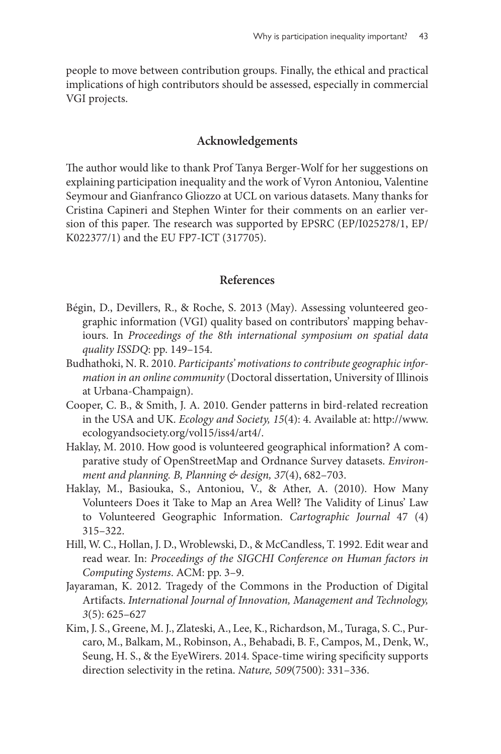people to move between contribution groups. Finally, the ethical and practical implications of high contributors should be assessed, especially in commercial VGI projects.

#### **Acknowledgements**

The author would like to thank Prof Tanya Berger-Wolf for her suggestions on explaining participation inequality and the work of Vyron Antoniou, Valentine Seymour and Gianfranco Gliozzo at UCL on various datasets. Many thanks for Cristina Capineri and Stephen Winter for their comments on an earlier version of this paper. The research was supported by EPSRC (EP/I025278/1, EP/ K022377/1) and the EU FP7-ICT (317705).

#### **References**

- Bégin, D., Devillers, R., & Roche, S. 2013 (May). Assessing volunteered geographic information (VGI) quality based on contributors' mapping behaviours. In *Proceedings of the 8th international symposium on spatial data quality ISSDQ*: pp. 149–154.
- Budhathoki, N. R. 2010. *Participants' motivations to contribute geographic information in an online community* (Doctoral dissertation, University of Illinois at Urbana-Champaign).
- Cooper, C. B., & Smith, J. A. 2010. Gender patterns in bird-related recreation in the USA and UK. *Ecology and Society, 15*(4): 4. Available at: [http://www.](http://www.ecologyandsociety.org/vol15/iss4/art4/) [ecologyandsociety.org/vol15/iss4/art4/.](http://www.ecologyandsociety.org/vol15/iss4/art4/)
- Haklay, M. 2010. How good is volunteered geographical information? A comparative study of OpenStreetMap and Ordnance Survey datasets. *Environment and planning. B, Planning & design, 37*(4), 682–703.
- Haklay, M., Basiouka, S., Antoniou, V., & Ather, A. (2010). How Many Volunteers Does it Take to Map an Area Well? The Validity of Linus' Law to Volunteered Geographic Information. *Cartographic Journal* 47 (4) 315–322.
- Hill, W. C., Hollan, J. D., Wroblewski, D., & McCandless, T. 1992. Edit wear and read wear. In: *Proceedings of the SIGCHI Conference on Human factors in Computing Systems*. ACM: pp. 3–9.
- Jayaraman, K. 2012. Tragedy of the Commons in the Production of Digital Artifacts. *International Journal of Innovation, Management and Technology, 3*(5): 625–627
- Kim, J. S., Greene, M. J., Zlateski, A., Lee, K., Richardson, M., Turaga, S. C., Purcaro, M., Balkam, M., Robinson, A., Behabadi, B. F., Campos, M., Denk, W., Seung, H. S., & the EyeWirers. 2014. Space-time wiring specificity supports direction selectivity in the retina. *Nature, 509*(7500): 331–336.